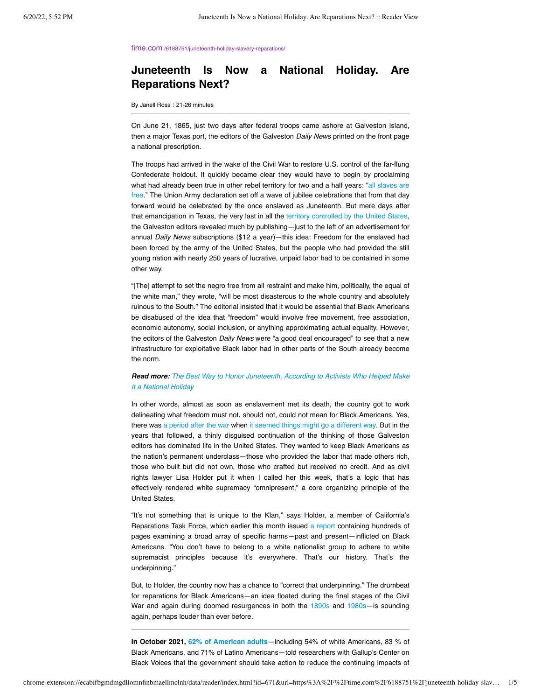time.com /6188751/juneteenth-holiday-slavery-reparations.

# **Juneteenth Is Now a National Holiday. Are Reparations Next?**

By Janell Ross : 21-26 minutes

On June 21, 1865, just two days after federal troops came ashore at Galveston Island, then a major Texas port, the editors of the Galveston *Daily News* printed on the front page a national prescription.

The troops had arrived in the wake of the Civil War to restore U.S. control of the far-flung Confederate holdout. It quickly became clear they would have to begin by proclaiming [what had already been true in other rebel territory for two and a half years: "all slaves are](https://www.archives.gov/news/articles/juneteenth-original-document) free." The Union Army declaration set off a wave of jubilee celebrations that from that day forward would be celebrated by the once enslaved as Juneteenth. But mere days after that emancipation in Texas, the very last in all the [territory controlled by the United States](https://law.marquette.edu/facultyblog/2013/01/when-did-slavery-really-end-in-the-united-states/comment-page-1/), the Galveston editors revealed much by publishing—just to the left of an advertisement for annual *Daily News* subscriptions (\$12 a year)—this idea: Freedom for the enslaved had been forced by the army of the United States, but the people who had provided the still young nation with nearly 250 years of lucrative, unpaid labor had to be contained in some other way.

"[The] attempt to set the negro free from all restraint and make him, politically, the equal of the white man," they wrote, "will be most disasterous to the whole country and absolutely ruinous to the South." The editorial insisted that it would be essential that Black Americans be disabused of the idea that "freedom" would involve free movement, free association, economic autonomy, social inclusion, or anything approximating actual equality. However, the editors of the Galveston *Daily News* were "a good deal encouraged" to see that a new infrastructure for exploitative Black labor had in other parts of the South already become the norm.

## *Read more: [The Best Way to Honor Juneteenth, According to Activists Who Helped Make](https://time.com/6187898/juneteenth-national-holiday-activists/) It a National Holiday*

In other words, almost as soon as enslavement met its death, the country got to work delineating what freedom must not, should not, could not mean for Black Americans. Yes, there was [a period after the war w](https://www.loc.gov/exhibits/african-american-odyssey/reconstruction.html)hen [it seemed things might go a different way](https://www.pbs.org/wgbh/americanexperience/features/reconstruction-timeline/). But in the years that followed, a thinly disguised continuation of the thinking of those Galveston editors has dominated life in the United States. They wanted to keep Black Americans as the nation's permanent underclass—those who provided the labor that made others rich, those who built but did not own, those who crafted but received no credit. And as civil rights lawyer Lisa Holder put it when I called her this week, that's a logic that has effectively rendered white supremacy "omnipresent," a core organizing principle of the United States.

"It's not something that is unique to the Klan," says Holder, a member of California's Reparations Task Force, which earlier this month issued [a report](https://oag.ca.gov/ab3121/reports) containing hundreds of pages examining a broad array of specific harms—past and present—inflicted on Black Americans. "You don't have to belong to a white nationalist group to adhere to white supremacist principles because it's everywhere. That's our history. That's the underpinning."

But, to Holder, the country now has a chance to "correct that underpinning." The drumbeat for reparations for Black Americans—an idea floated during the final stages of the Civil War and again during doomed resurgences in both the [1890s](https://www.archives.gov/publications/prologue/2010/summer/slave-pension.html) and [1980s](https://www.nytimes.com/2001/06/04/us/calls-for-slavery-restitution-getting-louder.html)-is sounding again, perhaps louder than ever before.

**In October 2021, [62% of American adults](https://news.gallup.com/poll/393689/americans-say-government-address-slavery-effects.aspx)**—including 54% of white Americans, 83 % of Black Americans, and 71% of Latino Americans—told researchers with Gallup's Center on Black Voices that the government should take action to reduce the continuing impacts of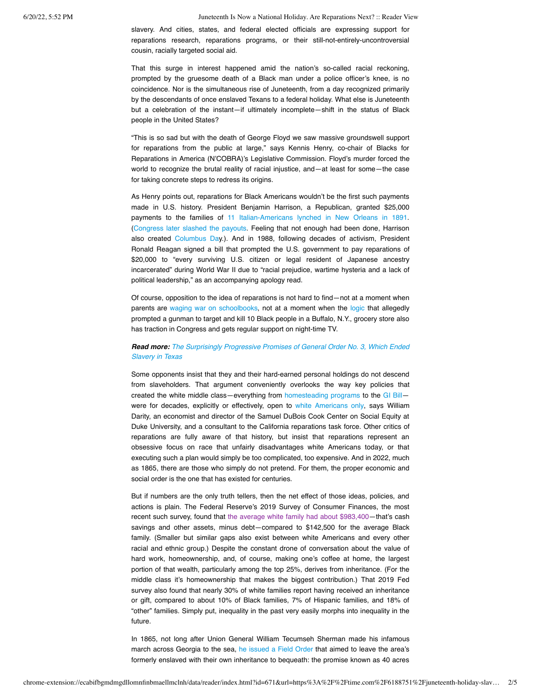slavery. And cities, states, and federal elected officials are expressing support for reparations research, reparations programs, or their still-not-entirely-uncontroversial cousin, racially targeted social aid.

That this surge in interest happened amid the nation's so-called racial reckoning, prompted by the gruesome death of a Black man under a police officer's knee, is no coincidence. Nor is the simultaneous rise of Juneteenth, from a day recognized primarily by the descendants of once enslaved Texans to a federal holiday. What else is Juneteenth but a celebration of the instant—if ultimately incomplete—shift in the status of Black people in the United States?

"This is so sad but with the death of George Floyd we saw massive groundswell support for reparations from the public at large," says Kennis Henry, co-chair of Blacks for Reparations in America (N'COBRA)'s Legislative Commission. Floyd's murder forced the world to recognize the brutal reality of racial injustice, and—at least for some—the case for taking concrete steps to redress its origins.

As Henry points out, reparations for Black Americans wouldn't be the first such payments made in U.S. history. President Benjamin Harrison, a Republican, granted \$25,000 payments to the families of [11 Italian-Americans lynched in New Orleans in 1891](https://www.smithsonianmag.com/smart-news/new-orleans-apologizes-1891-lynching-italian-americans-180971959/). [\(Congress later slashed the payouts](https://scholarworks.uno.edu/cgi/viewcontent.cgi?referer=&httpsredir=1&article=1515&context=td). Feeling that not enough had been done, Harrison also created [Columbus Day](https://www.washingtonpost.com/history/2021/10/10/columbus-day-benjamin-harrison-mob-italians/).). And in 1988, following decades of activism, President Ronald Reagan signed a bill that prompted the U.S. government to pay reparations of \$20,000 to "every surviving U.S. citizen or legal resident of Japanese ancestry incarcerated" during World War II due to "racial prejudice, wartime hysteria and a lack of political leadership," as an accompanying apology read.

Of course, opposition to the idea of reparations is not hard to find—not at a moment when parents are [waging war on schoolbooks,](https://time.com/6075193/critical-race-theory-debate) not at a moment when the [logic](https://time.com/6177282/great-replacement-theory-buffalo-racist-attacks/) that allegedly prompted a gunman to target and kill 10 Black people in a Buffalo, N.Y., grocery store also has traction in Congress and gets regular support on night-time TV.

## *Read more: [The Surprisingly Progressive Promises of General Order No. 3, Which Ended](https://time.com/6188864/general-order-3-juneteenth/) Slavery in Texas*

Some opponents insist that they and their hard-earned personal holdings do not descend from slaveholders. That argument conveniently overlooks the way key policies that created the white middle class—everything from [homesteading programs](https://aeon.co/ideas/land-and-the-roots-of-african-american-poverty) to the [GI Bill](https://www.nber.org/digest/dec02/gi-bill-world-war-ii-and-education-black-americans) were for decades, explicitly or effectively, open to [white Americans only,](https://openscholarship.wustl.edu/cgi/viewcontent.cgi?article=1045&context=csd_research) says William Darity, an economist and director of the Samuel DuBois Cook Center on Social Equity at Duke University, and a consultant to the California reparations task force. Other critics of reparations are fully aware of that history, but insist that reparations represent an obsessive focus on race that unfairly disadvantages white Americans today, or that executing such a plan would simply be too complicated, too expensive. And in 2022, much as 1865, there are those who simply do not pretend. For them, the proper economic and social order is the one that has existed for centuries.

But if numbers are the only truth tellers, then the net effect of those ideas, policies, and actions is plain. The Federal Reserve's 2019 Survey of Consumer Finances, the most recent such survey, found that [the average white family had about \\$983,400—](https://www.federalreserve.gov/econres/notes/feds-notes/disparities-in-wealth-by-race-and-ethnicity-in-the-2019-survey-of-consumer-finances-20200928.htm)that's cash savings and other assets, minus debt—compared to \$142,500 for the average Black family. (Smaller but similar gaps also exist between white Americans and every other racial and ethnic group.) Despite the constant drone of conversation about the value of hard work, homeownership, and, of course, making one's coffee at home, the largest portion of that wealth, particularly among the top 25%, derives from inheritance. (For the middle class it's homeownership that makes the biggest contribution.) That 2019 Fed survey also found that nearly 30% of white families report having received an inheritance or gift, compared to about 10% of Black families, 7% of Hispanic families, and 18% of "other" families. Simply put, inequality in the past very easily morphs into inequality in the future.

In 1865, not long after Union General William Tecumseh Sherman made his infamous march across Georgia to the sea, [he issued a Field Order](https://www.georgiaencyclopedia.org/articles/history-archaeology/shermans-field-order-no-15/) that aimed to leave the area's formerly enslaved with their own inheritance to bequeath: the promise known as 40 acres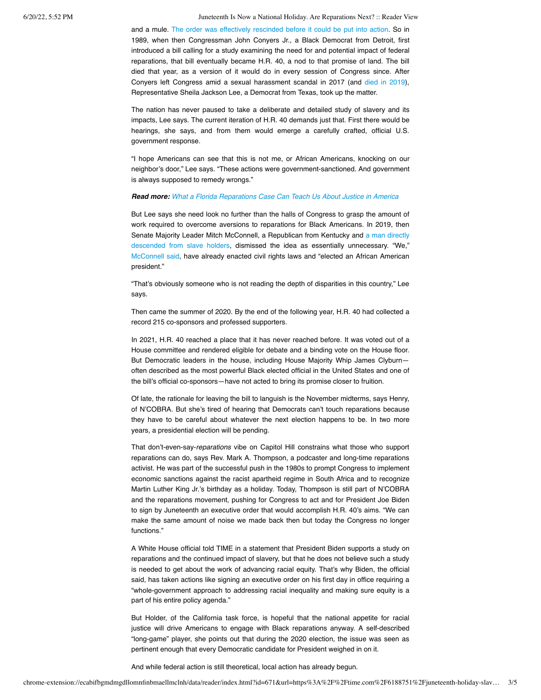6/20/22, 5:52 PM Juneteenth Is Now a National Holiday. Are Reparations Next? :: Reader View

and a mule. The order [was effectively rescinded before it could be put into action.](https://www.npr.org/sections/codeswitch/2015/01/12/376781165/the-story-behind-40-acres-and-a-mule) So in 1989, when then Congressman John Conyers Jr., a Black Democrat from Detroit, first introduced a bill calling for a study examining the need for and potential impact of federal reparations, that bill eventually became H.R. 40, a nod to that promise of land. The bill died that year, as a version of it would do in every session of Congress since. After Conyers left Congress amid a sexual harassment scandal in 2017 (and [died in 2019](https://www.nytimes.com/2019/10/27/obituaries/john-conyers-jr-dead.html)), Representative Sheila Jackson Lee, a Democrat from Texas, took up the matter.

The nation has never paused to take a deliberate and detailed study of slavery and its impacts, Lee says. The current iteration of H.R. 40 demands just that. First there would be hearings, she says, and from them would emerge a carefully crafted, official U.S. government response.

"I hope Americans can see that this is not me, or African Americans, knocking on our neighbor's door," Lee says. "These actions were government-sanctioned. And government is always supposed to remedy wrongs."

#### *Read more: [What a Florida Reparations Case Can Teach Us About Justice in America](https://time.com/5887247/reparations-america-rosewood-massacre/)*

But Lee says she need look no further than the halls of Congress to grasp the amount of work required to overcome aversions to reparations for Black Americans. In 2019, then [Senate Majority Leader Mitch McConnell, a Republican from Kentucky and a man directly](https://www.nbcnews.com/politics/congress/mitch-mcconnell-ancestors-slave-owners-alabama-1800s-census-n1027511) descended from slave holders, dismissed the idea as essentially unnecessary. "We," [McConnell said](https://www.courier-journal.com/story/news/politics/2019/06/19/mitch-mcconnell-reparations-slavery-compensation-not-needed-after-obama-presidency/1497461001/), have already enacted civil rights laws and "elected an African American president."

"That's obviously someone who is not reading the depth of disparities in this country," Lee says.

Then came the summer of 2020. By the end of the following year, H.R. 40 had collected a record 215 co-sponsors and professed supporters.

In 2021, H.R. 40 reached a place that it has never reached before. It was voted out of a House committee and rendered eligible for debate and a binding vote on the House floor. But Democratic leaders in the house, including House Majority Whip James Clyburn often described as the most powerful Black elected official in the United States and one of the bill's official co-sponsors—have not acted to bring its promise closer to fruition.

Of late, the rationale for leaving the bill to languish is the November midterms, says Henry, of N'COBRA. But she's tired of hearing that Democrats can't touch reparations because they have to be careful about whatever the next election happens to be. In two more years, a presidential election will be pending.

That don't-even-say-*reparations* vibe on Capitol Hill constrains what those who support reparations can do, says Rev. Mark A. Thompson, a podcaster and long-time reparations activist. He was part of the successful push in the 1980s to prompt Congress to implement economic sanctions against the racist apartheid regime in South Africa and to recognize Martin Luther King Jr.'s birthday as a holiday. Today, Thompson is still part of N'COBRA and the reparations movement, pushing for Congress to act and for President Joe Biden to sign by Juneteenth an executive order that would accomplish H.R. 40's aims. "We can make the same amount of noise we made back then but today the Congress no longer functions."

A White House official told TIME in a statement that President Biden supports a study on reparations and the continued impact of slavery, but that he does not believe such a study is needed to get about the work of advancing racial equity. That's why Biden, the official said, has taken actions like signing an executive order on his first day in office requiring a "whole-government approach to addressing racial inequality and making sure equity is a part of his entire policy agenda."

But Holder, of the California task force, is hopeful that the national appetite for racial justice will drive Americans to engage with Black reparations anyway. A self-described "long-game" player, she points out that during the 2020 election, the issue was seen as pertinent enough that every Democratic candidate for President weighed in on it.

And while federal action is still theoretical, local action has already begun.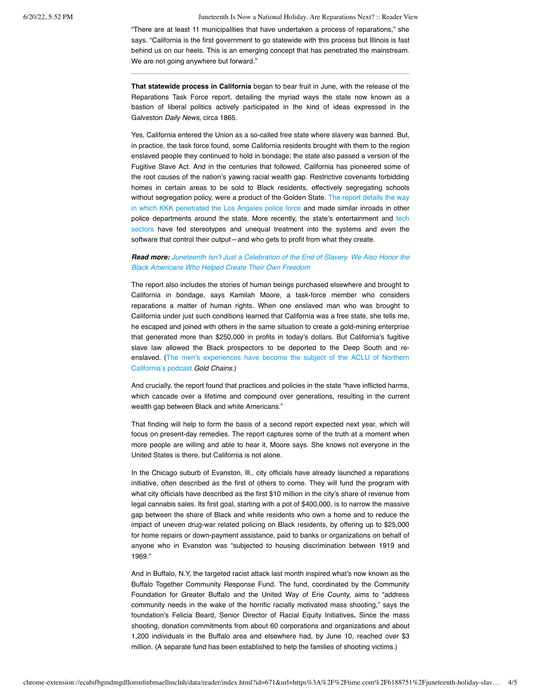6/20/22, 5:52 PM Juneteenth Is Now a National Holiday. Are Reparations Next? :: Reader View

"There are at least 11 municipalities that have undertaken a process of reparations," she says. "California is the first government to go statewide with this process but Illinois is fast behind us on our heels. This is an emerging concept that has penetrated the mainstream. We are not going anywhere but forward."

**That statewide process in California** began to bear fruit in June, with the release of the Reparations Task Force report, detailing the myriad ways the state now known as a bastion of liberal politics actively participated in the kind of ideas expressed in the Galveston *Daily News*, circa 1865.

Yes, California entered the Union as a so-called free state where slavery was banned. But, in practice, the task force found, some California residents brought with them to the region enslaved people they continued to hold in bondage; the state also passed a version of the Fugitive Slave Act. And in the centuries that followed, California has pioneered some of the root causes of the nation's yawing racial wealth gap. Restrictive covenants forbidding homes in certain areas to be sold to Black residents, effectively segregating schools without segregation [policy, were a product of the Golden State. The report details the way](https://forthe.org/journalism/kkk-lbpd-history/) in which KKK penetrated the Los Angeles police force and made similar inroads in other [police departments around the state. More recently, the state's entertainment and tech](https://time.com/5520558/artificial-intelligence-racial-gender-bias/) sectors have fed stereotypes and unequal treatment into the systems and even the software that control their output—and who gets to profit from what they create.

## *Read more: [Juneteenth Isn't Just a Celebration of the End of Slavery. We Also Honor the](https://time.com/6073043/who-made-juneteenth/) Black Americans Who Helped Create Their Own Freedom*

The report also includes the stories of human beings purchased elsewhere and brought to California in bondage, says Kamilah Moore, a task-force member who considers reparations a matter of human rights. When one enslaved man who was brought to California under just such conditions learned that California was a free state, she tells me, he escaped and joined with others in the same situation to create a gold-mining enterprise that generated more than \$250,000 in profits in today's dollars. But California's fugitive slave law allowed the Black prospectors to be deported to the Deep South and re[enslaved. \(The men's experiences have become the subject of the ACLU of Northern](https://www.aclunc.org/sites/goldchains/podcast/index.html) California's podcast *Gold Chains.*)

And crucially, the report found that practices and policies in the state "have inflicted harms, which cascade over a lifetime and compound over generations, resulting in the current wealth gap between Black and white Americans."

That finding will help to form the basis of a second report expected next year, which will focus on present-day remedies. The report captures some of the truth at a moment when more people are willing and able to hear it, Moore says. She knows not everyone in the United States is there, but California is not alone.

In the Chicago suburb of Evanston, Ill., city officials have already launched a reparations initiative, often described as the first of others to come. They will fund the program with what city officials have described as the first \$10 million in the city's share of revenue from legal cannabis sales. Its first goal, starting with a pot of \$400,000, is to narrow the massive gap between the share of Black and white residents who own a home and to reduce the impact of uneven drug-war related policing on Black residents, by offering up to \$25,000 for home repairs or down-payment assistance, paid to banks or organizations on behalf of anyone who in Evanston was "subjected to housing discrimination between 1919 and 1969."

And in Buffalo, N.Y, the targeted racist attack last month inspired what's now known as the Buffalo Together Community Response Fund. The fund, coordinated by the Community Foundation for Greater Buffalo and the United Way of Erie County, aims to "address community needs in the wake of the horrific racially motivated mass shooting," says the foundation's Felicia Beard, Senior Director of Racial Equity Initiatives**.** Since the mass shooting, donation commitments from about 60 corporations and organizations and about 1,200 individuals in the Buffalo area and elsewhere had, by June 10, reached over \$3 million. (A separate fund has been established to help the families of shooting victims.)